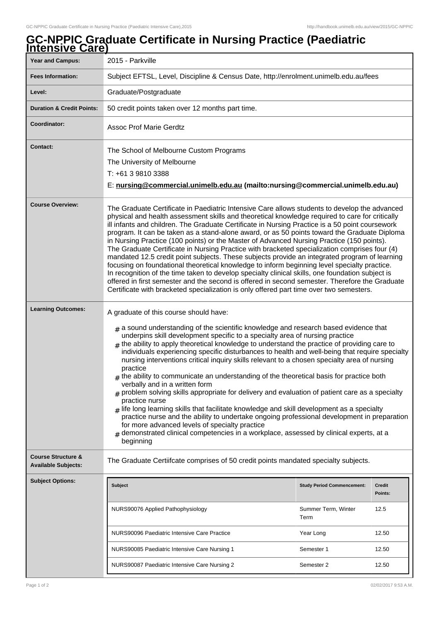## **GC-NPPIC Graduate Certificate in Nursing Practice (Paediatric Intensive Care)**

| 2015 - Parkville                                                                                                                                                                                                                                                                                                                                                                                                                                                                                                                                                                                                                                                                                                                                                                                                                                                                                                                                                                                                                                                                                                                                                 |                                   |                                                                                                                                                                        |
|------------------------------------------------------------------------------------------------------------------------------------------------------------------------------------------------------------------------------------------------------------------------------------------------------------------------------------------------------------------------------------------------------------------------------------------------------------------------------------------------------------------------------------------------------------------------------------------------------------------------------------------------------------------------------------------------------------------------------------------------------------------------------------------------------------------------------------------------------------------------------------------------------------------------------------------------------------------------------------------------------------------------------------------------------------------------------------------------------------------------------------------------------------------|-----------------------------------|------------------------------------------------------------------------------------------------------------------------------------------------------------------------|
| Subject EFTSL, Level, Discipline & Census Date, http://enrolment.unimelb.edu.au/fees                                                                                                                                                                                                                                                                                                                                                                                                                                                                                                                                                                                                                                                                                                                                                                                                                                                                                                                                                                                                                                                                             |                                   |                                                                                                                                                                        |
| Graduate/Postgraduate                                                                                                                                                                                                                                                                                                                                                                                                                                                                                                                                                                                                                                                                                                                                                                                                                                                                                                                                                                                                                                                                                                                                            |                                   |                                                                                                                                                                        |
| 50 credit points taken over 12 months part time.                                                                                                                                                                                                                                                                                                                                                                                                                                                                                                                                                                                                                                                                                                                                                                                                                                                                                                                                                                                                                                                                                                                 |                                   |                                                                                                                                                                        |
| <b>Assoc Prof Marie Gerdtz</b>                                                                                                                                                                                                                                                                                                                                                                                                                                                                                                                                                                                                                                                                                                                                                                                                                                                                                                                                                                                                                                                                                                                                   |                                   |                                                                                                                                                                        |
| The School of Melbourne Custom Programs<br>The University of Melbourne<br>T: +61 3 9810 3388                                                                                                                                                                                                                                                                                                                                                                                                                                                                                                                                                                                                                                                                                                                                                                                                                                                                                                                                                                                                                                                                     |                                   |                                                                                                                                                                        |
| The Graduate Certificate in Paediatric Intensive Care allows students to develop the advanced<br>physical and health assessment skills and theoretical knowledge required to care for critically<br>ill infants and children. The Graduate Certificate in Nursing Practice is a 50 point coursework<br>program. It can be taken as a stand-alone award, or as 50 points toward the Graduate Diploma<br>in Nursing Practice (100 points) or the Master of Advanced Nursing Practice (150 points).<br>The Graduate Certificate in Nursing Practice with bracketed specialization comprises four (4)<br>mandated 12.5 credit point subjects. These subjects provide an integrated program of learning<br>focusing on foundational theoretical knowledge to inform beginning level specialty practice.<br>In recognition of the time taken to develop specialty clinical skills, one foundation subject is<br>offered in first semester and the second is offered in second semester. Therefore the Graduate<br>Certificate with bracketed specialization is only offered part time over two semesters.                                                              |                                   |                                                                                                                                                                        |
| A graduate of this course should have:<br>$_{\#}$ a sound understanding of the scientific knowledge and research based evidence that<br>underpins skill development specific to a specialty area of nursing practice<br>$_{\text{\#}}$ the ability to apply theoretical knowledge to understand the practice of providing care to<br>individuals experiencing specific disturbances to health and well-being that require specialty<br>nursing interventions critical inquiry skills relevant to a chosen specialty area of nursing<br>practice<br>$#$ the ability to communicate an understanding of the theoretical basis for practice both<br>verbally and in a written form<br>problem solving skills appropriate for delivery and evaluation of patient care as a specialty<br>practice nurse<br>$_{\rm H}$ life long learning skills that facilitate knowledge and skill development as a specialty<br>practice nurse and the ability to undertake ongoing professional development in preparation<br>for more advanced levels of specialty practice<br>demonstrated clinical competencies in a workplace, assessed by clinical experts, at a<br>beginning |                                   |                                                                                                                                                                        |
|                                                                                                                                                                                                                                                                                                                                                                                                                                                                                                                                                                                                                                                                                                                                                                                                                                                                                                                                                                                                                                                                                                                                                                  |                                   |                                                                                                                                                                        |
| <b>Subject</b>                                                                                                                                                                                                                                                                                                                                                                                                                                                                                                                                                                                                                                                                                                                                                                                                                                                                                                                                                                                                                                                                                                                                                   | <b>Study Period Commencement:</b> | <b>Credit</b><br>Points:                                                                                                                                               |
| NURS90076 Applied Pathophysiology                                                                                                                                                                                                                                                                                                                                                                                                                                                                                                                                                                                                                                                                                                                                                                                                                                                                                                                                                                                                                                                                                                                                | Summer Term, Winter<br>Term       | 12.5                                                                                                                                                                   |
| NURS90096 Paediatric Intensive Care Practice                                                                                                                                                                                                                                                                                                                                                                                                                                                                                                                                                                                                                                                                                                                                                                                                                                                                                                                                                                                                                                                                                                                     | Year Long                         | 12.50                                                                                                                                                                  |
| NURS90085 Paediatric Intensive Care Nursing 1                                                                                                                                                                                                                                                                                                                                                                                                                                                                                                                                                                                                                                                                                                                                                                                                                                                                                                                                                                                                                                                                                                                    | Semester 1                        | 12.50                                                                                                                                                                  |
| NURS90087 Paediatric Intensive Care Nursing 2                                                                                                                                                                                                                                                                                                                                                                                                                                                                                                                                                                                                                                                                                                                                                                                                                                                                                                                                                                                                                                                                                                                    | Semester 2                        | 12.50                                                                                                                                                                  |
|                                                                                                                                                                                                                                                                                                                                                                                                                                                                                                                                                                                                                                                                                                                                                                                                                                                                                                                                                                                                                                                                                                                                                                  |                                   | E: nursing@commercial.unimelb.edu.au (mailto:nursing@commercial.unimelb.edu.au)<br>The Graduate Certiifcate comprises of 50 credit points mandated specialty subjects. |